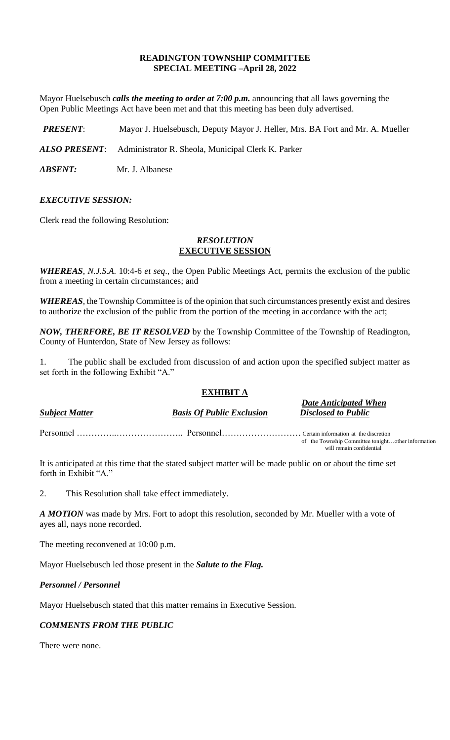## **READINGTON TOWNSHIP COMMITTEE SPECIAL MEETING –April 28, 2022**

Mayor Huelsebusch *calls the meeting to order at 7:00 p.m.* announcing that all laws governing the Open Public Meetings Act have been met and that this meeting has been duly advertised.

*PRESENT*: Mayor J. Huelsebusch, Deputy Mayor J. Heller, Mrs. BA Fort and Mr. A. Mueller

*ALSO PRESENT*: Administrator R. Sheola, Municipal Clerk K. Parker

*ABSENT:* Mr. J. Albanese

## *EXECUTIVE SESSION:*

Clerk read the following Resolution:

### *RESOLUTION* **EXECUTIVE SESSION**

*WHEREAS*, *N.J.S.A*. 10:4-6 *et seq*., the Open Public Meetings Act, permits the exclusion of the public from a meeting in certain circumstances; and

*WHEREAS,* the Township Committee is of the opinion that such circumstances presently exist and desires to authorize the exclusion of the public from the portion of the meeting in accordance with the act;

*NOW, THERFORE, BE IT RESOLVED* by the Township Committee of the Township of Readington, County of Hunterdon, State of New Jersey as follows:

1. The public shall be excluded from discussion of and action upon the specified subject matter as set forth in the following Exhibit "A."

# **EXHIBIT A**

| <b>Subject Matter</b> | <b>Basis Of Public Exclusion</b> | <b>Date Anticipated When</b><br><b>Disclosed to Public</b>                     |
|-----------------------|----------------------------------|--------------------------------------------------------------------------------|
|                       |                                  |                                                                                |
|                       |                                  | of the Township Committee tonightother information<br>will remain confidential |

It is anticipated at this time that the stated subject matter will be made public on or about the time set forth in Exhibit "A."

2. This Resolution shall take effect immediately.

*A MOTION* was made by Mrs. Fort to adopt this resolution, seconded by Mr. Mueller with a vote of ayes all, nays none recorded.

The meeting reconvened at 10:00 p.m.

Mayor Huelsebusch led those present in the *Salute to the Flag.*

#### *Personnel / Personnel*

Mayor Huelsebusch stated that this matter remains in Executive Session.

## *COMMENTS FROM THE PUBLIC*

There were none.